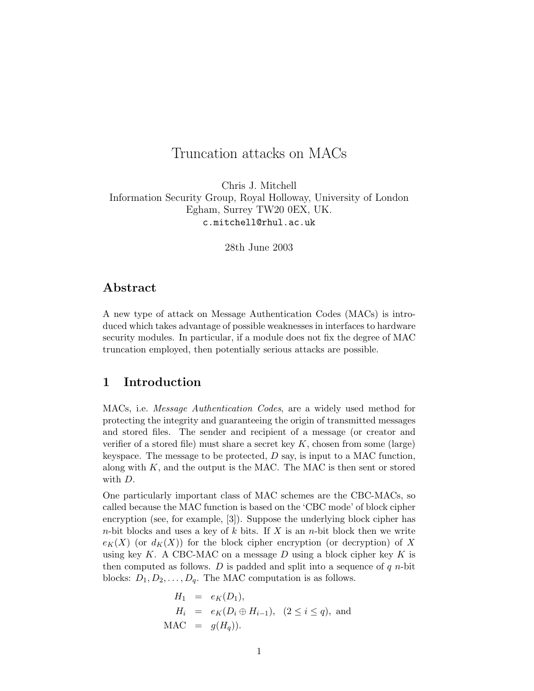# Truncation attacks on MACs

Chris J. Mitchell Information Security Group, Royal Holloway, University of London Egham, Surrey TW20 0EX, UK. c.mitchell@rhul.ac.uk

28th June 2003

# Abstract

A new type of attack on Message Authentication Codes (MACs) is introduced which takes advantage of possible weaknesses in interfaces to hardware security modules. In particular, if a module does not fix the degree of MAC truncation employed, then potentially serious attacks are possible.

#### 1 Introduction

MACs, i.e. Message Authentication Codes, are a widely used method for protecting the integrity and guaranteeing the origin of transmitted messages and stored files. The sender and recipient of a message (or creator and verifier of a stored file) must share a secret key  $K$ , chosen from some (large) keyspace. The message to be protected,  $D$  say, is input to a MAC function, along with  $K$ , and the output is the MAC. The MAC is then sent or stored with D.

One particularly important class of MAC schemes are the CBC-MACs, so called because the MAC function is based on the 'CBC mode' of block cipher encryption (see, for example, [3]). Suppose the underlying block cipher has *n*-bit blocks and uses a key of k bits. If X is an *n*-bit block then we write  $e_K(X)$  (or  $d_K(X)$ ) for the block cipher encryption (or decryption) of X using key K. A CBC-MAC on a message D using a block cipher key K is then computed as follows. D is padded and split into a sequence of  $q$  *n*-bit blocks:  $D_1, D_2, \ldots, D_q$ . The MAC computation is as follows.

$$
H_1 = e_K(D_1),
$$
  
\n
$$
H_i = e_K(D_i \oplus H_{i-1}), (2 \le i \le q),
$$
 and  
\nMAC =  $g(H_q)$ ).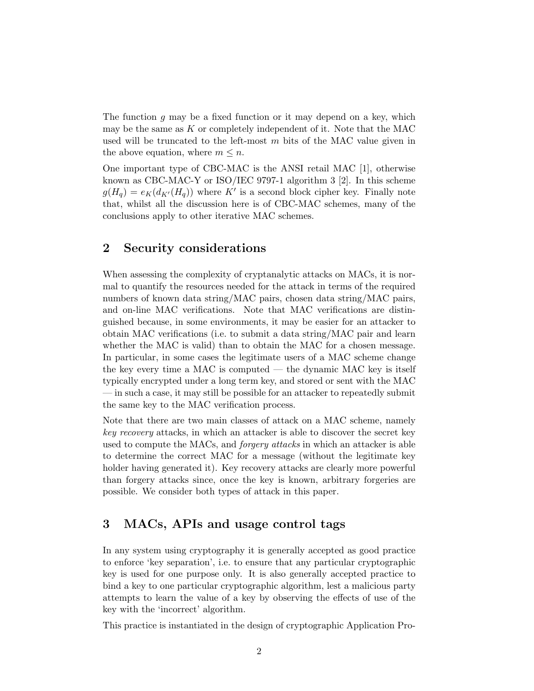The function  $g$  may be a fixed function or it may depend on a key, which may be the same as  $K$  or completely independent of it. Note that the MAC used will be truncated to the left-most  $m$  bits of the MAC value given in the above equation, where  $m \leq n$ .

One important type of CBC-MAC is the ANSI retail MAC [1], otherwise known as CBC-MAC-Y or ISO/IEC 9797-1 algorithm 3 [2]. In this scheme  $g(H_q) = e_K(d_{K'}(H_q))$  where K' is a second block cipher key. Finally note that, whilst all the discussion here is of CBC-MAC schemes, many of the conclusions apply to other iterative MAC schemes.

## 2 Security considerations

When assessing the complexity of cryptanalytic attacks on MACs, it is normal to quantify the resources needed for the attack in terms of the required numbers of known data string/MAC pairs, chosen data string/MAC pairs, and on-line MAC verifications. Note that MAC verifications are distinguished because, in some environments, it may be easier for an attacker to obtain MAC verifications (i.e. to submit a data string/MAC pair and learn whether the MAC is valid) than to obtain the MAC for a chosen message. In particular, in some cases the legitimate users of a MAC scheme change the key every time a MAC is computed — the dynamic MAC key is itself typically encrypted under a long term key, and stored or sent with the MAC — in such a case, it may still be possible for an attacker to repeatedly submit the same key to the MAC verification process.

Note that there are two main classes of attack on a MAC scheme, namely key recovery attacks, in which an attacker is able to discover the secret key used to compute the MACs, and *forgery attacks* in which an attacker is able to determine the correct MAC for a message (without the legitimate key holder having generated it). Key recovery attacks are clearly more powerful than forgery attacks since, once the key is known, arbitrary forgeries are possible. We consider both types of attack in this paper.

# 3 MACs, APIs and usage control tags

In any system using cryptography it is generally accepted as good practice to enforce 'key separation', i.e. to ensure that any particular cryptographic key is used for one purpose only. It is also generally accepted practice to bind a key to one particular cryptographic algorithm, lest a malicious party attempts to learn the value of a key by observing the effects of use of the key with the 'incorrect' algorithm.

This practice is instantiated in the design of cryptographic Application Pro-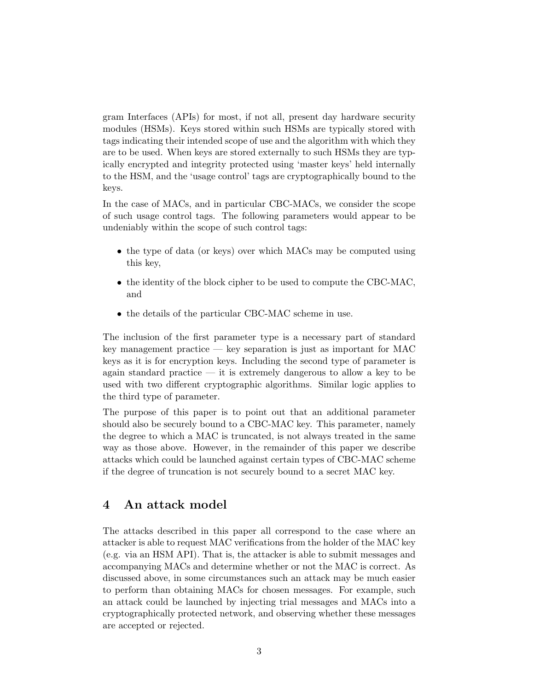gram Interfaces (APIs) for most, if not all, present day hardware security modules (HSMs). Keys stored within such HSMs are typically stored with tags indicating their intended scope of use and the algorithm with which they are to be used. When keys are stored externally to such HSMs they are typically encrypted and integrity protected using 'master keys' held internally to the HSM, and the 'usage control' tags are cryptographically bound to the keys.

In the case of MACs, and in particular CBC-MACs, we consider the scope of such usage control tags. The following parameters would appear to be undeniably within the scope of such control tags:

- the type of data (or keys) over which MACs may be computed using this key,
- the identity of the block cipher to be used to compute the CBC-MAC, and
- the details of the particular CBC-MAC scheme in use.

The inclusion of the first parameter type is a necessary part of standard key management practice  $-$  key separation is just as important for MAC keys as it is for encryption keys. Including the second type of parameter is again standard practice — it is extremely dangerous to allow a key to be used with two different cryptographic algorithms. Similar logic applies to the third type of parameter.

The purpose of this paper is to point out that an additional parameter should also be securely bound to a CBC-MAC key. This parameter, namely the degree to which a MAC is truncated, is not always treated in the same way as those above. However, in the remainder of this paper we describe attacks which could be launched against certain types of CBC-MAC scheme if the degree of truncation is not securely bound to a secret MAC key.

## 4 An attack model

The attacks described in this paper all correspond to the case where an attacker is able to request MAC verifications from the holder of the MAC key (e.g. via an HSM API). That is, the attacker is able to submit messages and accompanying MACs and determine whether or not the MAC is correct. As discussed above, in some circumstances such an attack may be much easier to perform than obtaining MACs for chosen messages. For example, such an attack could be launched by injecting trial messages and MACs into a cryptographically protected network, and observing whether these messages are accepted or rejected.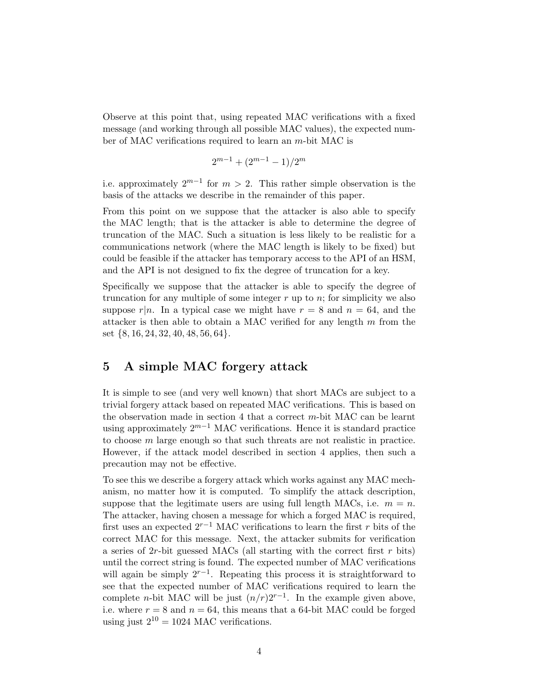Observe at this point that, using repeated MAC verifications with a fixed message (and working through all possible MAC values), the expected number of MAC verifications required to learn an m-bit MAC is

$$
2^{m-1} + (2^{m-1} - 1)/2^m
$$

i.e. approximately  $2^{m-1}$  for  $m > 2$ . This rather simple observation is the basis of the attacks we describe in the remainder of this paper.

From this point on we suppose that the attacker is also able to specify the MAC length; that is the attacker is able to determine the degree of truncation of the MAC. Such a situation is less likely to be realistic for a communications network (where the MAC length is likely to be fixed) but could be feasible if the attacker has temporary access to the API of an HSM, and the API is not designed to fix the degree of truncation for a key.

Specifically we suppose that the attacker is able to specify the degree of truncation for any multiple of some integer  $r$  up to  $n$ ; for simplicity we also suppose  $r|n$ . In a typical case we might have  $r = 8$  and  $n = 64$ , and the attacker is then able to obtain a MAC verified for any length  $m$  from the set {8, 16, 24, 32, 40, 48, 56, 64}.

### 5 A simple MAC forgery attack

It is simple to see (and very well known) that short MACs are subject to a trivial forgery attack based on repeated MAC verifications. This is based on the observation made in section 4 that a correct  $m$ -bit MAC can be learnt using approximately  $2^{m-1}$  MAC verifications. Hence it is standard practice to choose m large enough so that such threats are not realistic in practice. However, if the attack model described in section 4 applies, then such a precaution may not be effective.

To see this we describe a forgery attack which works against any MAC mechanism, no matter how it is computed. To simplify the attack description, suppose that the legitimate users are using full length MACs, i.e.  $m = n$ . The attacker, having chosen a message for which a forged MAC is required, first uses an expected  $2^{r-1}$  MAC verifications to learn the first r bits of the correct MAC for this message. Next, the attacker submits for verification a series of  $2r$ -bit guessed MACs (all starting with the correct first r bits) until the correct string is found. The expected number of MAC verifications will again be simply  $2^{r-1}$ . Repeating this process it is straightforward to see that the expected number of MAC verifications required to learn the complete *n*-bit MAC will be just  $(n/r)2^{r-1}$ . In the example given above, i.e. where  $r = 8$  and  $n = 64$ , this means that a 64-bit MAC could be forged using just  $2^{10} = 1024$  MAC verifications.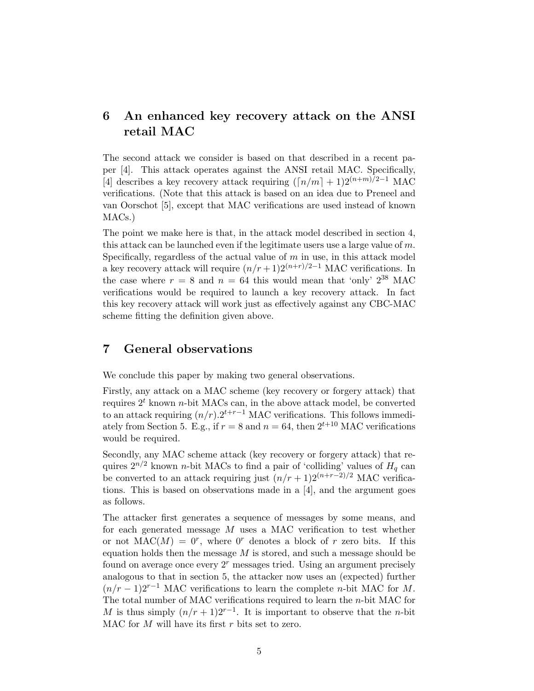# 6 An enhanced key recovery attack on the ANSI retail MAC

The second attack we consider is based on that described in a recent paper [4]. This attack operates against the ANSI retail MAC. Specifically, [4] describes a key recovery attack requiring  $(\lceil n/m \rceil + 1)2^{(n+m)/2-1}$  MAC verifications. (Note that this attack is based on an idea due to Preneel and van Oorschot [5], except that MAC verifications are used instead of known MACs.)

The point we make here is that, in the attack model described in section 4, this attack can be launched even if the legitimate users use a large value of  $m$ . Specifically, regardless of the actual value of  $m$  in use, in this attack model a key recovery attack will require  $(n/r+1)2^{(n+r)/2-1}$  MAC verifications. In the case where  $r = 8$  and  $n = 64$  this would mean that 'only'  $2^{38}$  MAC verifications would be required to launch a key recovery attack. In fact this key recovery attack will work just as effectively against any CBC-MAC scheme fitting the definition given above.

# 7 General observations

We conclude this paper by making two general observations.

Firstly, any attack on a MAC scheme (key recovery or forgery attack) that requires  $2<sup>t</sup>$  known *n*-bit MACs can, in the above attack model, be converted to an attack requiring  $(n/r) \cdot 2^{t+r-1}$  MAC verifications. This follows immediately from Section 5. E.g., if  $r = 8$  and  $n = 64$ , then  $2^{t+10}$  MAC verifications would be required.

Secondly, any MAC scheme attack (key recovery or forgery attack) that requires  $2^{n/2}$  known *n*-bit MACs to find a pair of 'colliding' values of  $H<sub>q</sub>$  can be converted to an attack requiring just  $(n/r + 1)2^{(n+r-2)/2}$  MAC verifications. This is based on observations made in a [4], and the argument goes as follows.

The attacker first generates a sequence of messages by some means, and for each generated message M uses a MAC verification to test whether or not  $MAC(M) = 0^r$ , where 0<sup>r</sup> denotes a block of r zero bits. If this equation holds then the message  $M$  is stored, and such a message should be found on average once every  $2<sup>r</sup>$  messages tried. Using an argument precisely analogous to that in section 5, the attacker now uses an (expected) further  $(n/r-1)2^{r-1}$  MAC verifications to learn the complete *n*-bit MAC for M. The total number of MAC verifications required to learn the n-bit MAC for M is thus simply  $(n/r+1)2^{r-1}$ . It is important to observe that the *n*-bit MAC for  $M$  will have its first  $r$  bits set to zero.